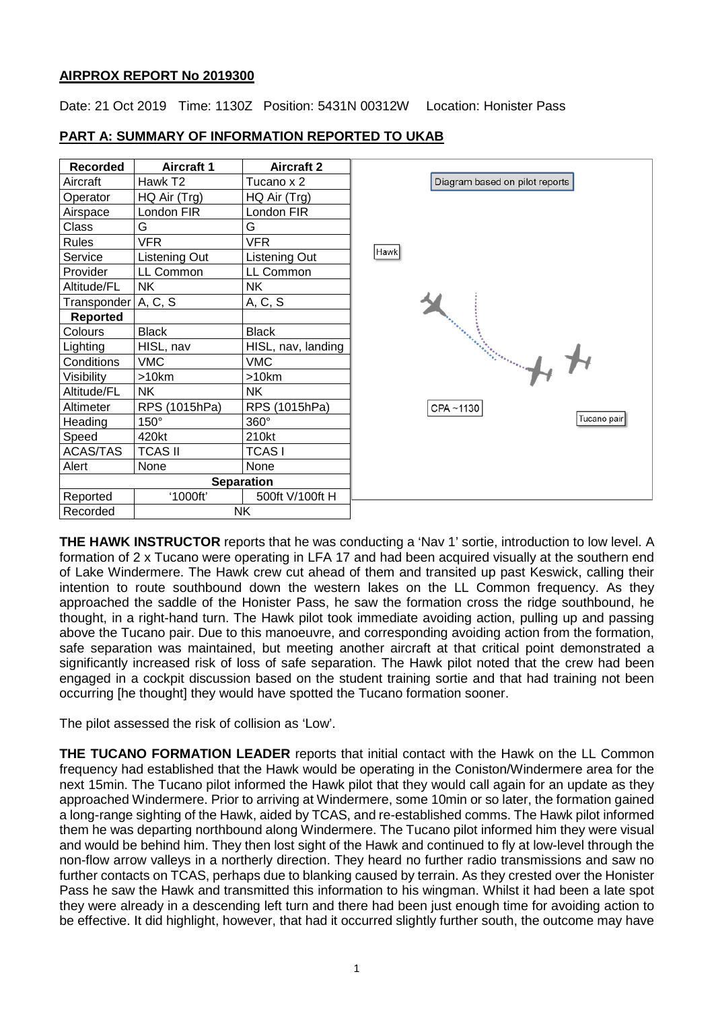### **AIRPROX REPORT No 2019300**

Date: 21 Oct 2019 Time: 1130Z Position: 5431N 00312W Location: Honister Pass

| <b>Recorded</b>       | <b>Aircraft 1</b> | <b>Aircraft 2</b>  |                                |
|-----------------------|-------------------|--------------------|--------------------------------|
| Aircraft              | Hawk T2           | Tucano x 2         | Diagram based on pilot reports |
| Operator              | HQ Air (Trg)      | HQ Air (Trg)       |                                |
| Airspace              | London FIR        | London FIR         |                                |
| Class                 | G                 | G                  |                                |
| <b>Rules</b>          | <b>VFR</b>        | <b>VFR</b>         |                                |
| Service               | Listening Out     | Listening Out      | Hawk                           |
| Provider              | LL Common         | LL Common          |                                |
| Altitude/FL           | <b>NK</b>         | NΚ                 |                                |
| Transponder A, C, S   |                   | A, C, S            |                                |
| <b>Reported</b>       |                   |                    |                                |
| Colours               | <b>Black</b>      | <b>Black</b>       |                                |
| Lighting              | HISL, nav         | HISL, nav, landing |                                |
| Conditions            | <b>VMC</b>        | <b>VMC</b>         | Salah perangan dari Selasahan  |
| Visibility            | >10km             | >10km              |                                |
| Altitude/FL           | <b>NK</b>         | <b>NK</b>          |                                |
| Altimeter             | RPS (1015hPa)     | RPS (1015hPa)      | CPA~1130                       |
| Heading               | $150^\circ$       | 360°               | Tucano pair                    |
| Speed                 | 420kt             | 210kt              |                                |
| ACAS/TAS              | <b>TCAS II</b>    | <b>TCASI</b>       |                                |
| Alert                 | None              | None               |                                |
| <b>Separation</b>     |                   |                    |                                |
| Reported              | '1000ft'          | 500ft V/100ft H    |                                |
| <b>NK</b><br>Recorded |                   |                    |                                |

## **PART A: SUMMARY OF INFORMATION REPORTED TO UKAB**

**THE HAWK INSTRUCTOR** reports that he was conducting a 'Nav 1' sortie, introduction to low level. A formation of 2 x Tucano were operating in LFA 17 and had been acquired visually at the southern end of Lake Windermere. The Hawk crew cut ahead of them and transited up past Keswick, calling their intention to route southbound down the western lakes on the LL Common frequency. As they approached the saddle of the Honister Pass, he saw the formation cross the ridge southbound, he thought, in a right-hand turn. The Hawk pilot took immediate avoiding action, pulling up and passing above the Tucano pair. Due to this manoeuvre, and corresponding avoiding action from the formation, safe separation was maintained, but meeting another aircraft at that critical point demonstrated a significantly increased risk of loss of safe separation. The Hawk pilot noted that the crew had been engaged in a cockpit discussion based on the student training sortie and that had training not been occurring [he thought] they would have spotted the Tucano formation sooner.

The pilot assessed the risk of collision as 'Low'.

**THE TUCANO FORMATION LEADER** reports that initial contact with the Hawk on the LL Common frequency had established that the Hawk would be operating in the Coniston/Windermere area for the next 15min. The Tucano pilot informed the Hawk pilot that they would call again for an update as they approached Windermere. Prior to arriving at Windermere, some 10min or so later, the formation gained a long-range sighting of the Hawk, aided by TCAS, and re-established comms. The Hawk pilot informed them he was departing northbound along Windermere. The Tucano pilot informed him they were visual and would be behind him. They then lost sight of the Hawk and continued to fly at low-level through the non-flow arrow valleys in a northerly direction. They heard no further radio transmissions and saw no further contacts on TCAS, perhaps due to blanking caused by terrain. As they crested over the Honister Pass he saw the Hawk and transmitted this information to his wingman. Whilst it had been a late spot they were already in a descending left turn and there had been just enough time for avoiding action to be effective. It did highlight, however, that had it occurred slightly further south, the outcome may have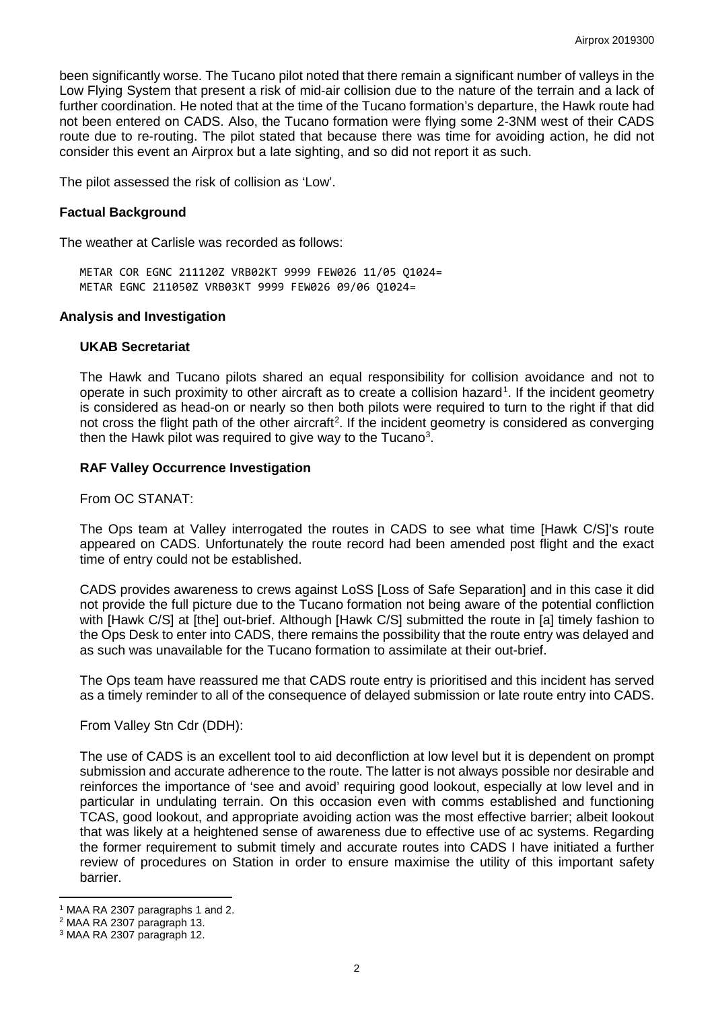been significantly worse. The Tucano pilot noted that there remain a significant number of valleys in the Low Flying System that present a risk of mid-air collision due to the nature of the terrain and a lack of further coordination. He noted that at the time of the Tucano formation's departure, the Hawk route had not been entered on CADS. Also, the Tucano formation were flying some 2-3NM west of their CADS route due to re-routing. The pilot stated that because there was time for avoiding action, he did not consider this event an Airprox but a late sighting, and so did not report it as such.

The pilot assessed the risk of collision as 'Low'.

### **Factual Background**

The weather at Carlisle was recorded as follows:

METAR COR EGNC 211120Z VRB02KT 9999 FEW026 11/05 Q1024= METAR EGNC 211050Z VRB03KT 9999 FEW026 09/06 Q1024=

#### **Analysis and Investigation**

#### **UKAB Secretariat**

The Hawk and Tucano pilots shared an equal responsibility for collision avoidance and not to operate in such proximity to other aircraft as to create a collision hazard<sup>[1](#page-1-0)</sup>. If the incident geometry is considered as head-on or nearly so then both pilots were required to turn to the right if that did not cross the flight path of the other aircraft<sup>[2](#page-1-1)</sup>. If the incident geometry is considered as converging then the Hawk pilot was required to give way to the Tucano<sup>[3](#page-1-2)</sup>.

### **RAF Valley Occurrence Investigation**

From OC STANAT:

The Ops team at Valley interrogated the routes in CADS to see what time [Hawk C/S]'s route appeared on CADS. Unfortunately the route record had been amended post flight and the exact time of entry could not be established.

CADS provides awareness to crews against LoSS [Loss of Safe Separation] and in this case it did not provide the full picture due to the Tucano formation not being aware of the potential confliction with [Hawk C/S] at [the] out-brief. Although [Hawk C/S] submitted the route in [a] timely fashion to the Ops Desk to enter into CADS, there remains the possibility that the route entry was delayed and as such was unavailable for the Tucano formation to assimilate at their out-brief.

The Ops team have reassured me that CADS route entry is prioritised and this incident has served as a timely reminder to all of the consequence of delayed submission or late route entry into CADS.

From Valley Stn Cdr (DDH):

The use of CADS is an excellent tool to aid deconfliction at low level but it is dependent on prompt submission and accurate adherence to the route. The latter is not always possible nor desirable and reinforces the importance of 'see and avoid' requiring good lookout, especially at low level and in particular in undulating terrain. On this occasion even with comms established and functioning TCAS, good lookout, and appropriate avoiding action was the most effective barrier; albeit lookout that was likely at a heightened sense of awareness due to effective use of ac systems. Regarding the former requirement to submit timely and accurate routes into CADS I have initiated a further review of procedures on Station in order to ensure maximise the utility of this important safety barrier.

l <sup>1</sup> MAA RA 2307 paragraphs 1 and 2.

<span id="page-1-1"></span><span id="page-1-0"></span><sup>2</sup> MAA RA 2307 paragraph 13.

<span id="page-1-2"></span><sup>3</sup> MAA RA 2307 paragraph 12.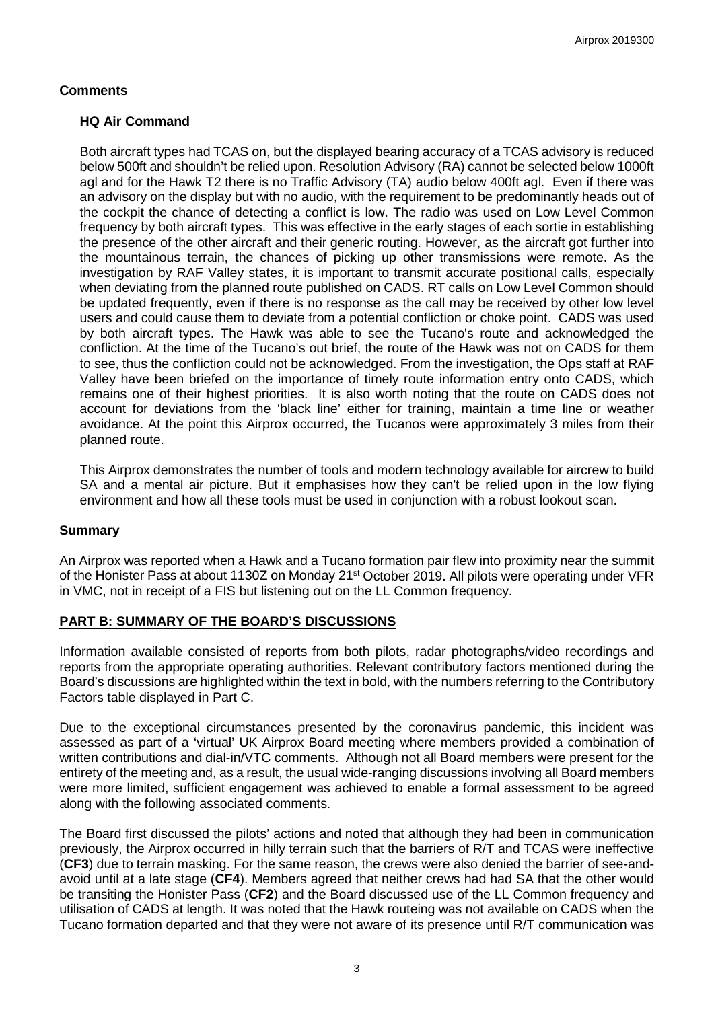## **Comments**

## **HQ Air Command**

Both aircraft types had TCAS on, but the displayed bearing accuracy of a TCAS advisory is reduced below 500ft and shouldn't be relied upon. Resolution Advisory (RA) cannot be selected below 1000ft agl and for the Hawk T2 there is no Traffic Advisory (TA) audio below 400ft agl. Even if there was an advisory on the display but with no audio, with the requirement to be predominantly heads out of the cockpit the chance of detecting a conflict is low. The radio was used on Low Level Common frequency by both aircraft types. This was effective in the early stages of each sortie in establishing the presence of the other aircraft and their generic routing. However, as the aircraft got further into the mountainous terrain, the chances of picking up other transmissions were remote. As the investigation by RAF Valley states, it is important to transmit accurate positional calls, especially when deviating from the planned route published on CADS. RT calls on Low Level Common should be updated frequently, even if there is no response as the call may be received by other low level users and could cause them to deviate from a potential confliction or choke point. CADS was used by both aircraft types. The Hawk was able to see the Tucano's route and acknowledged the confliction. At the time of the Tucano's out brief, the route of the Hawk was not on CADS for them to see, thus the confliction could not be acknowledged. From the investigation, the Ops staff at RAF Valley have been briefed on the importance of timely route information entry onto CADS, which remains one of their highest priorities. It is also worth noting that the route on CADS does not account for deviations from the 'black line' either for training, maintain a time line or weather avoidance. At the point this Airprox occurred, the Tucanos were approximately 3 miles from their planned route.

This Airprox demonstrates the number of tools and modern technology available for aircrew to build SA and a mental air picture. But it emphasises how they can't be relied upon in the low flying environment and how all these tools must be used in conjunction with a robust lookout scan.

## **Summary**

An Airprox was reported when a Hawk and a Tucano formation pair flew into proximity near the summit of the Honister Pass at about 1130Z on Monday 21<sup>st</sup> October 2019. All pilots were operating under VFR in VMC, not in receipt of a FIS but listening out on the LL Common frequency.

## **PART B: SUMMARY OF THE BOARD'S DISCUSSIONS**

Information available consisted of reports from both pilots, radar photographs/video recordings and reports from the appropriate operating authorities. Relevant contributory factors mentioned during the Board's discussions are highlighted within the text in bold, with the numbers referring to the Contributory Factors table displayed in Part C.

Due to the exceptional circumstances presented by the coronavirus pandemic, this incident was assessed as part of a 'virtual' UK Airprox Board meeting where members provided a combination of written contributions and dial-in/VTC comments. Although not all Board members were present for the entirety of the meeting and, as a result, the usual wide-ranging discussions involving all Board members were more limited, sufficient engagement was achieved to enable a formal assessment to be agreed along with the following associated comments.

The Board first discussed the pilots' actions and noted that although they had been in communication previously, the Airprox occurred in hilly terrain such that the barriers of R/T and TCAS were ineffective (**CF3**) due to terrain masking. For the same reason, the crews were also denied the barrier of see-andavoid until at a late stage (**CF4**). Members agreed that neither crews had had SA that the other would be transiting the Honister Pass (**CF2**) and the Board discussed use of the LL Common frequency and utilisation of CADS at length. It was noted that the Hawk routeing was not available on CADS when the Tucano formation departed and that they were not aware of its presence until R/T communication was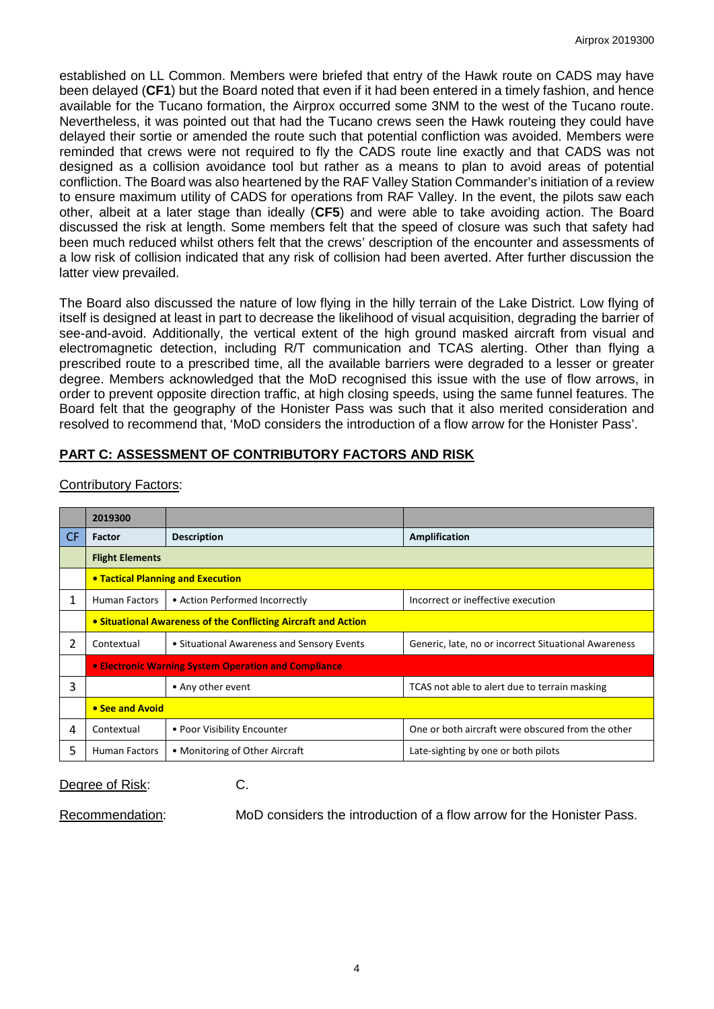established on LL Common. Members were briefed that entry of the Hawk route on CADS may have been delayed (**CF1**) but the Board noted that even if it had been entered in a timely fashion, and hence available for the Tucano formation, the Airprox occurred some 3NM to the west of the Tucano route. Nevertheless, it was pointed out that had the Tucano crews seen the Hawk routeing they could have delayed their sortie or amended the route such that potential confliction was avoided. Members were reminded that crews were not required to fly the CADS route line exactly and that CADS was not designed as a collision avoidance tool but rather as a means to plan to avoid areas of potential confliction. The Board was also heartened by the RAF Valley Station Commander's initiation of a review to ensure maximum utility of CADS for operations from RAF Valley. In the event, the pilots saw each other, albeit at a later stage than ideally (**CF5**) and were able to take avoiding action. The Board discussed the risk at length. Some members felt that the speed of closure was such that safety had been much reduced whilst others felt that the crews' description of the encounter and assessments of a low risk of collision indicated that any risk of collision had been averted. After further discussion the latter view prevailed.

The Board also discussed the nature of low flying in the hilly terrain of the Lake District. Low flying of itself is designed at least in part to decrease the likelihood of visual acquisition, degrading the barrier of see-and-avoid. Additionally, the vertical extent of the high ground masked aircraft from visual and electromagnetic detection, including R/T communication and TCAS alerting. Other than flying a prescribed route to a prescribed time, all the available barriers were degraded to a lesser or greater degree. Members acknowledged that the MoD recognised this issue with the use of flow arrows, in order to prevent opposite direction traffic, at high closing speeds, using the same funnel features. The Board felt that the geography of the Honister Pass was such that it also merited consideration and resolved to recommend that, 'MoD considers the introduction of a flow arrow for the Honister Pass'.

# **PART C: ASSESSMENT OF CONTRIBUTORY FACTORS AND RISK**

|           | 2019300                                                        |                                            |                                                      |  |  |  |  |  |  |  |
|-----------|----------------------------------------------------------------|--------------------------------------------|------------------------------------------------------|--|--|--|--|--|--|--|
| <b>CF</b> | Factor                                                         | <b>Description</b>                         | Amplification                                        |  |  |  |  |  |  |  |
|           | <b>Flight Elements</b>                                         |                                            |                                                      |  |  |  |  |  |  |  |
|           | • Tactical Planning and Execution                              |                                            |                                                      |  |  |  |  |  |  |  |
| 1         | <b>Human Factors</b>                                           | • Action Performed Incorrectly             | Incorrect or ineffective execution                   |  |  |  |  |  |  |  |
|           | • Situational Awareness of the Conflicting Aircraft and Action |                                            |                                                      |  |  |  |  |  |  |  |
| 2         | Contextual                                                     | • Situational Awareness and Sensory Events | Generic, late, no or incorrect Situational Awareness |  |  |  |  |  |  |  |
|           | • Electronic Warning System Operation and Compliance           |                                            |                                                      |  |  |  |  |  |  |  |
| 3         |                                                                | • Any other event                          | TCAS not able to alert due to terrain masking        |  |  |  |  |  |  |  |
|           | • See and Avoid                                                |                                            |                                                      |  |  |  |  |  |  |  |
| 4         | Contextual                                                     | • Poor Visibility Encounter                | One or both aircraft were obscured from the other    |  |  |  |  |  |  |  |
| 5         | <b>Human Factors</b><br>• Monitoring of Other Aircraft         |                                            | Late-sighting by one or both pilots                  |  |  |  |  |  |  |  |

### Contributory Factors:

Degree of Risk: C.

Recommendation: MoD considers the introduction of a flow arrow for the Honister Pass.